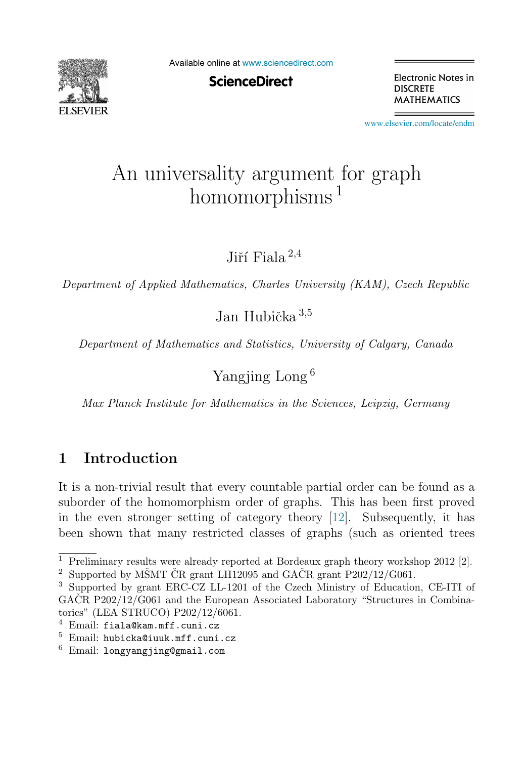

Available online at [www.sciencedirect.com](http://www.sciencedirect.com)

**ScienceDirect** 

Electronic Notes in **DISCRETE MATHEMATICS** 

[www.elsevier.com/locate/endm](http://www.elsevier.com/locate/endm)

# $homomorphisms$ <sup>1</sup>

Jiří Fiala  $^{2,4}$ 

Department of Applied Mathematics, Charles University (KAM), Czech Republic

Jan Hubička  $3,5$ 

Department of Mathematics and Statistics, University of Calgary, Canada

Yangjing Long <sup>6</sup>

Max Planck Institute for Mathematics in the Sciences, Leipzig, Germany

# **1 Introduction**

It is a non-trivial result that every countable partial order can be found as a suborder of the homomorphism order of graphs. This has been first proved in the even stronger setting of category theory [\[12\]](#page-6-0). Subsequently, it has been shown that many restricted classes of graphs (such as oriented trees

<sup>&</sup>lt;sup>1</sup> Preliminary results were already reported at Bordeaux graph theory workshop  $2012$  [2].

<sup>&</sup>lt;sup>2</sup> Supported by MŠMT CR grant LH12095 and GACR grant P202/12/G061.

<sup>3</sup> Supported by grant ERC-CZ LL-1201 of the Czech Ministry of Education, CE-ITI of  $G_ACR$  P202/12/G061 and the European Associated Laboratory "Structures in Combinatorics" (LEA STRUCO) P202/12/6061.

 $4$  Email: fiala@kam.mff.cuni.cz

<sup>5</sup> Email: hubicka@iuuk.mff.cuni.cz

 $6$  Email: longyangjing@gmail.com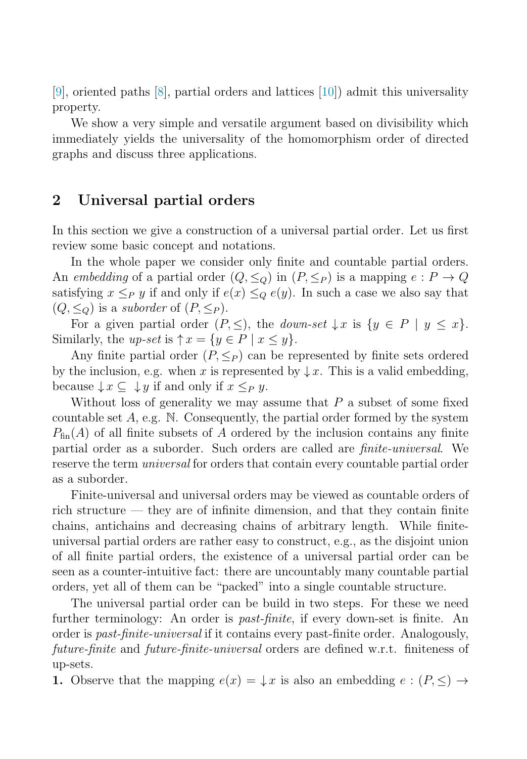[\[9\]](#page-6-0), oriented paths [\[8\]](#page-6-0), partial orders and lattices [\[10\]](#page-6-0)) admit this universality property.

We show a very simple and versatile argument based on divisibility which immediately yields the universality of the homomorphism order of directed graphs and discuss three applications.

## **2 Universal partial orders**

In this section we give a construction of a universal partial order. Let us first review some basic concept and notations.

In the whole paper we consider only finite and countable partial orders. An embedding of a partial order  $(Q, \leq_Q)$  in  $(P, \leq_P)$  is a mapping  $e : P \to Q$ satisfying  $x \leq_P y$  if and only if  $e(x) \leq_Q e(y)$ . In such a case we also say that  $(Q, \leq_Q)$  is a *suborder* of  $(P, \leq_P)$ .

For a given partial order  $(P, \leq)$ , the *down-set*  $\downarrow x$  is  $\{y \in P \mid y \leq x\}$ . Similarly, the up-set is  $\uparrow x = \{y \in P \mid x \leq y\}.$ 

Any finite partial order  $(P, \leq_P)$  can be represented by finite sets ordered by the inclusion, e.g. when x is represented by  $\downarrow x$ . This is a valid embedding, because  $\downarrow x \subseteq \downarrow y$  if and only if  $x \leq_{P} y$ .

Without loss of generality we may assume that  $P$  a subset of some fixed countable set  $A$ , e.g. N. Consequently, the partial order formed by the system  $P_{fin}(A)$  of all finite subsets of A ordered by the inclusion contains any finite partial order as a suborder. Such orders are called are finite-universal. We reserve the term *universal* for orders that contain every countable partial order as a suborder.

Finite-universal and universal orders may be viewed as countable orders of rich structure — they are of infinite dimension, and that they contain finite chains, antichains and decreasing chains of arbitrary length. While finiteuniversal partial orders are rather easy to construct, e.g., as the disjoint union of all finite partial orders, the existence of a universal partial order can be seen as a counter-intuitive fact: there are uncountably many countable partial orders, yet all of them can be "packed" into a single countable structure.

The universal partial order can be build in two steps. For these we need further terminology: An order is past-finite, if every down-set is finite. An order is past-finite-universal if it contains every past-finite order. Analogously, future-finite and future-finite-universal orders are defined w.r.t. finiteness of up-sets.

**1.** Observe that the mapping  $e(x) = \downarrow x$  is also an embedding  $e : (P, \leq) \rightarrow$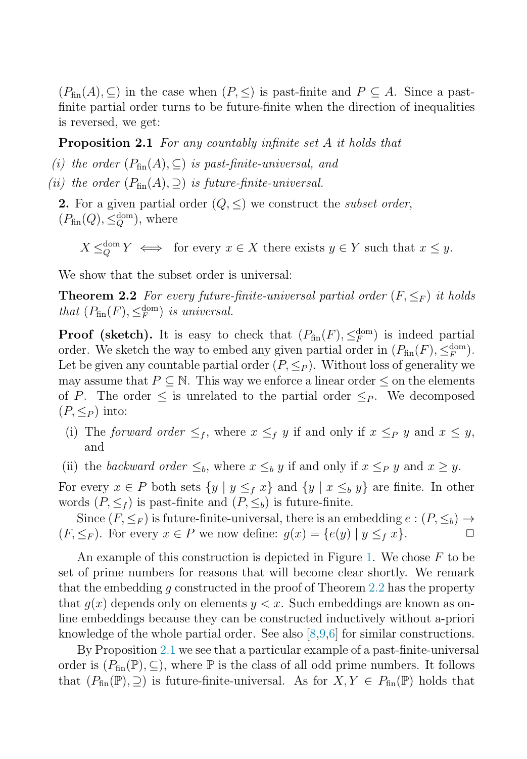<span id="page-2-0"></span> $(P_{fin}(A), \subseteq)$  in the case when  $(P, \leq)$  is past-finite and  $P \subseteq A$ . Since a pastfinite partial order turns to be future-finite when the direction of inequalities is reversed, we get:

**Proposition 2.1** For any countably infinite set A it holds that

(i) the order  $(P_{fin}(A), \subseteq)$  is past-finite-universal, and

(ii) the order  $(P_{fin}(A), \supset)$  is future-finite-universal.

**2.** For a given partial order  $(Q, \leq)$  we construct the *subset order*,  $(P_{\text{fin}}(Q), \leq_Q^{\text{dom}})$ , where

 $X \leq_{\mathcal{O}}^{\text{dom}} Y \iff$  for every  $x \in X$  there exists  $y \in Y$  such that  $x \leq y$ .

We show that the subset order is universal:

**Theorem 2.2** For every future-finite-universal partial order  $(F, \leq_F)$  it holds that  $(P_{fin}(F), \leq_F^{\text{dom}})$  is universal.

**Proof (sketch).** It is easy to check that  $(P_{fin}(F), \leq_F^{\text{dom}})$  is indeed partial order. We sketch the way to embed any given partial order in  $(P_{fin}(F), \leq_F^{\text{dom}})$ . Let be given any countable partial order  $(P, \leq_P)$ . Without loss of generality we may assume that  $P \subseteq \mathbb{N}$ . This way we enforce a linear order  $\leq$  on the elements of P. The order  $\leq$  is unrelated to the partial order  $\leq_P$ . We decomposed  $(P, \leq_P)$  into:

- (i) The forward order  $\leq_f$ , where  $x \leq_f y$  if and only if  $x \leq_P y$  and  $x \leq y$ , and
- (ii) the backward order  $\leq_b$ , where  $x \leq_b y$  if and only if  $x \leq_P y$  and  $x \geq y$ .

For every  $x \in P$  both sets  $\{y \mid y \leq_f x\}$  and  $\{y \mid x \leq_b y\}$  are finite. In other words  $(P, \leq_f)$  is past-finite and  $(P, \leq_b)$  is future-finite.

Since  $(F, \leq_F)$  is future-finite-universal, there is an embedding  $e : (P, \leq_b) \rightarrow$  $(F, \leq_F)$ . For every  $x \in P$  we now define:  $g(x) = \{e(y) | y \leq_f x\}.$ 

An example of this construction is depicted in Figure [1.](#page-3-0) We chose  $F$  to be set of prime numbers for reasons that will become clear shortly. We remark that the embedding g constructed in the proof of Theorem 2.2 has the property that  $q(x)$  depends only on elements  $y < x$ . Such embeddings are known as online embeddings because they can be constructed inductively without a-priori knowledge of the whole partial order. See also  $[8,9,6]$  for similar constructions.

By Proposition 2.1 we see that a particular example of a past-finite-universal order is  $(P_{fin}(\mathbb{P}), \subseteq)$ , where  $\mathbb P$  is the class of all odd prime numbers. It follows that  $(P_{fin}(\mathbb{P}), \supseteq)$  is future-finite-universal. As for  $X, Y \in P_{fin}(\mathbb{P})$  holds that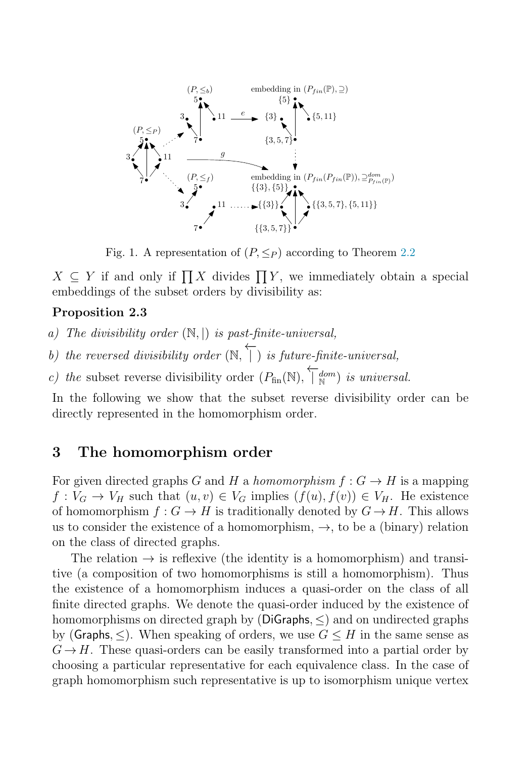<span id="page-3-0"></span>

Fig. 1. A representation of  $(P, \leq_P)$  according to Theorem [2.2](#page-2-0)

 $X \subseteq Y$  if and only if  $\prod X$  divides  $\prod Y$ , we immediately obtain a special embeddings of the subset orders by divisibility as:

#### **Proposition 2.3**

a) The divisibility order  $(\mathbb{N}, \mathbb{N})$  is past-finite-universal,

b) the reversed divisibility order  $(\mathbb{N}, \n\overleftarrow{+})$  $|$ ) is future-finite-universal,

c) the subset reverse divisibility order  $(P_{fin}(\mathbb{N}), \overleftarrow{\}_{\mathbb{N}}^{dom})$  is universal.

In the following we show that the subset reverse divisibility order can be directly represented in the homomorphism order.

## **3 The homomorphism order**

For given directed graphs G and H a homomorphism  $f: G \to H$  is a mapping  $f: V_G \to V_H$  such that  $(u, v) \in V_G$  implies  $(f(u), f(v)) \in V_H$ . He existence of homomorphism  $f: G \to H$  is traditionally denoted by  $G \to H$ . This allows us to consider the existence of a homomorphism,  $\rightarrow$ , to be a (binary) relation on the class of directed graphs.

The relation  $\rightarrow$  is reflexive (the identity is a homomorphism) and transitive (a composition of two homomorphisms is still a homomorphism). Thus the existence of a homomorphism induces a quasi-order on the class of all finite directed graphs. We denote the quasi-order induced by the existence of homomorphisms on directed graph by (DiGraphs,  $\leq$ ) and on undirected graphs by (Graphs,  $\leq$ ). When speaking of orders, we use  $G \leq H$  in the same sense as  $G \rightarrow H$ . These quasi-orders can be easily transformed into a partial order by choosing a particular representative for each equivalence class. In the case of graph homomorphism such representative is up to isomorphism unique vertex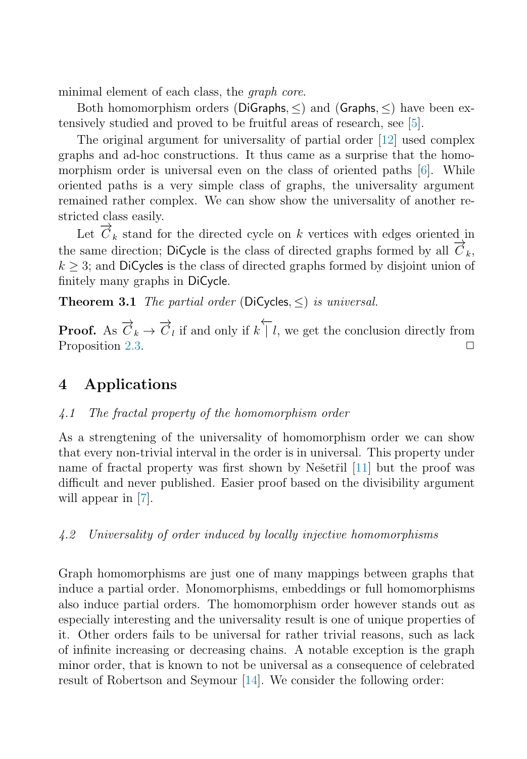<span id="page-4-0"></span>minimal element of each class, the *graph core*.

Both homomorphism orders (DiGraphs,  $\leq$ ) and (Graphs,  $\leq$ ) have been extensively studied and proved to be fruitful areas of research, see [\[5\]](#page-6-0).

The original argument for universality of partial order [\[12\]](#page-6-0) used complex graphs and ad-hoc constructions. It thus came as a surprise that the homomorphism order is universal even on the class of oriented paths [\[6\]](#page-6-0). While oriented paths is a very simple class of graphs, the universality argument remained rather complex. We can show show the universality of another restricted class easily.

Let  $\overrightarrow{C}_k$  stand for the directed cycle on k vertices with edges oriented in the same direction; DiCycle is the class of directed graphs formed by all  $\vec{C}_k$ ,  $k \geq 3$ ; and DiCycles is the class of directed graphs formed by disjoint union of finitely many graphs in DiCycle.

**Theorem 3.1** The partial order (DiCycles,  $\leq$ ) is universal.

**Proof.** As  $\overrightarrow{C}_k \to \overrightarrow{C}_l$  if and only if  $k \upharpoonright l$ , we get the conclusion directly from Proposition [2.3.](#page-3-0)  $\Box$ 

# **4 Applications**

### 4.1 The fractal property of the homomorphism order

As a strengtening of the universality of homomorphism order we can show that every non-trivial interval in the order is in universal. This property under name of fractal property was first shown by Nešetřil [\[11\]](#page-6-0) but the proof was difficult and never published. Easier proof based on the divisibility argument will appear in [\[7\]](#page-6-0).

#### 4.2 Universality of order induced by locally injective homomorphisms

Graph homomorphisms are just one of many mappings between graphs that induce a partial order. Monomorphisms, embeddings or full homomorphisms also induce partial orders. The homomorphism order however stands out as especially interesting and the universality result is one of unique properties of it. Other orders fails to be universal for rather trivial reasons, such as lack of infinite increasing or decreasing chains. A notable exception is the graph minor order, that is known to not be universal as a consequence of celebrated result of Robertson and Seymour [\[14\]](#page-6-0). We consider the following order: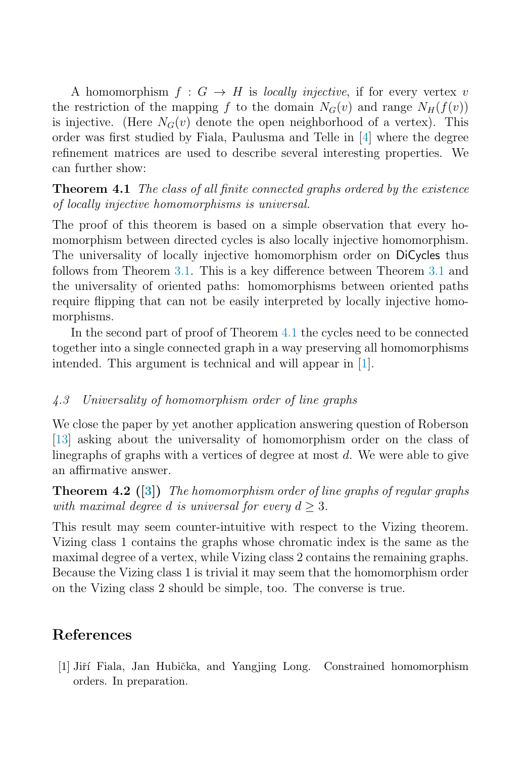A homomorphism  $f: G \to H$  is *locally injective*, if for every vertex v the restriction of the mapping f to the domain  $N_G(v)$  and range  $N_H(f(v))$ is injective. (Here  $N_G(v)$  denote the open neighborhood of a vertex). This order was first studied by Fiala, Paulusma and Telle in [\[4\]](#page-6-0) where the degree refinement matrices are used to describe several interesting properties. We can further show:

**Theorem 4.1** The class of all finite connected graphs ordered by the existence of locally injective homomorphisms is universal.

The proof of this theorem is based on a simple observation that every homomorphism between directed cycles is also locally injective homomorphism. The universality of locally injective homomorphism order on DiCycles thus follows from Theorem [3.1.](#page-4-0) This is a key difference between Theorem [3.1](#page-4-0) and the universality of oriented paths: homomorphisms between oriented paths require flipping that can not be easily interpreted by locally injective homomorphisms.

In the second part of proof of Theorem 4.1 the cycles need to be connected together into a single connected graph in a way preserving all homomorphisms intended. This argument is technical and will appear in [1].

### 4.3 Universality of homomorphism order of line graphs

We close the paper by yet another application answering question of Roberson [\[13\]](#page-6-0) asking about the universality of homomorphism order on the class of linegraphs of graphs with a vertices of degree at most  $d$ . We were able to give an affirmative answer.

**Theorem 4.2 ([\[3\]](#page-6-0))** The homomorphism order of line graphs of regular graphs with maximal degree d is universal for every  $d \geq 3$ .

This result may seem counter-intuitive with respect to the Vizing theorem. Vizing class 1 contains the graphs whose chromatic index is the same as the maximal degree of a vertex, while Vizing class 2 contains the remaining graphs. Because the Vizing class 1 is trivial it may seem that the homomorphism order on the Vizing class 2 should be simple, too. The converse is true.

# **References**

[1] Jiří Fiala, Jan Hubička, and Yangjing Long. Constrained homomorphism orders. In preparation.